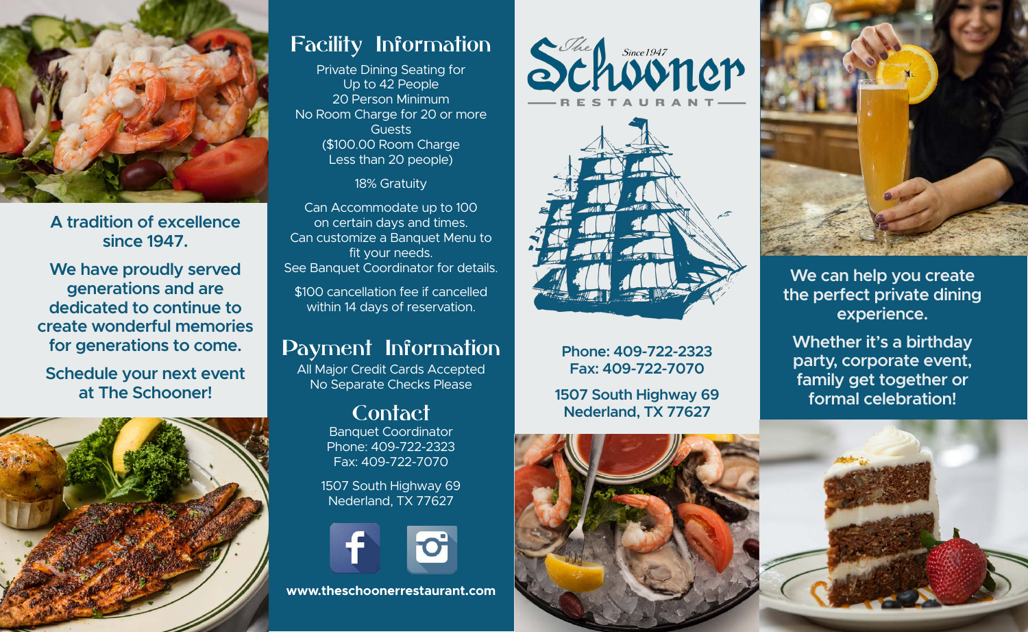

**A tradition of excellence since 1947.**

**We have proudly served generations and are dedicated to continue to create wonderful memories for generations to come.**

**Schedule your next event at The Schooner!**



### Facility Information

Private Dining Seating for Up to 42 People 20 Person Minimum No Room Charge for 20 or more Guests (\$100.00 Room Charge Less than 20 people)

18% Gratuity

Can Accommodate up to 100 on certain days and times. Can customize a Banquet Menu to fit your needs. See Banquet Coordinator for details.

\$100 cancellation fee if cancelled within 14 days of reservation.

### Payment Information

All Major Credit Cards Accepted No Separate Checks Please

### Contact

Banquet Coordinator Phone: 409-722-2323 Fax: 409-722-7070

1507 South Highway 69 Nederland, TX 77627



**www.theschoonerrestaurant.com**





**Phone: 409-722-2323 Fax: 409-722-7070**

**1507 South Highway 69 Nederland, TX 77627**





**We can help you create the perfect private dining experience.**

**Whether it's a birthday party, corporate event, family get together or formal celebration!**